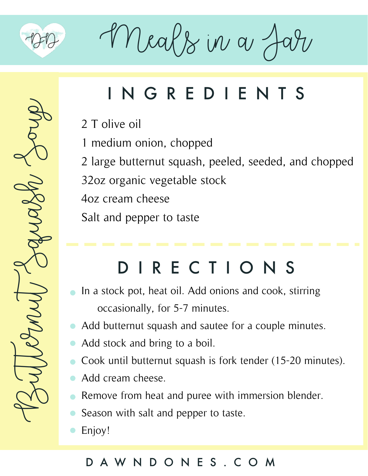

Meals in a Jar

# Buternut Squash Soup

# INGREDIENTS

2 T olive oil

1 medium onion, chopped

2 large butternut squash, peeled, seeded, and chopped

32oz organic vegetable stock

4oz cream cheese

Salt and pepper to taste

# DIRECTIONS

- In a stock pot, heat oil. Add onions and cook, stirring occasionally, for 5-7 minutes.
- Add butternut squash and sautee for a couple minutes.
- Add stock and bring to a boil.  $\bullet$
- Cook until butternut squash is fork tender (15-20 minutes).
- Add cream cheese.  $\bullet$
- Remove from heat and puree with immersion blender.
- Season with salt and pepper to taste.  $\bullet$
- Enjoy!

### DAWNDONES.COM